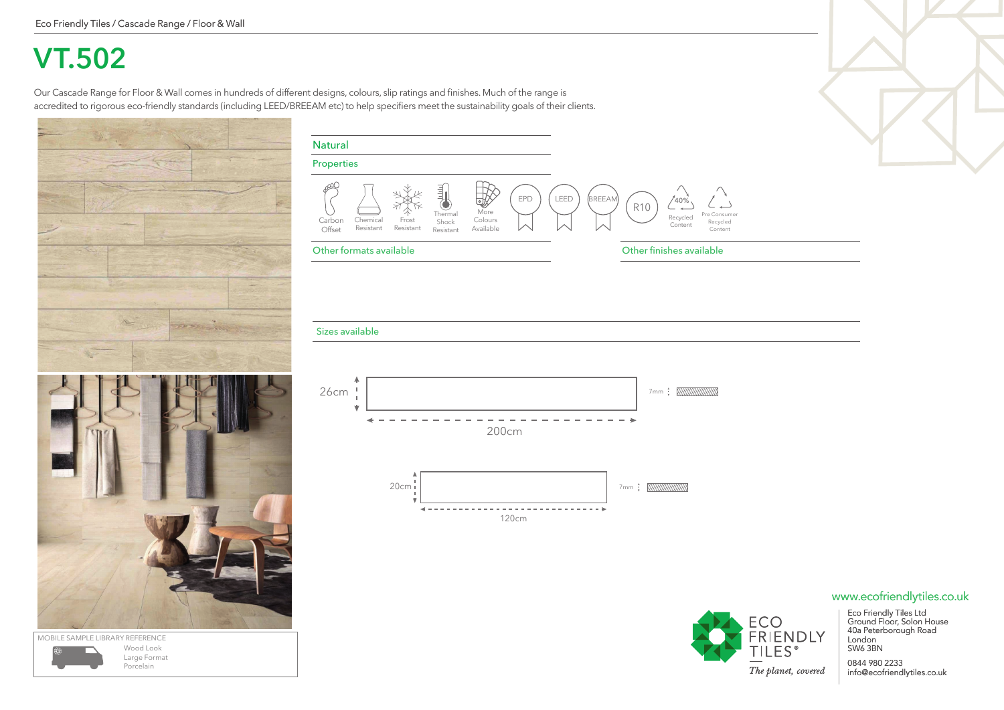## **VT.502**

Our Cascade Range for Floor & Wall comes in hundreds of different designs, colours, slip ratings and finishes. Much of the range is accredited to rigorous eco-friendly standards (including LEED/BREEAM etc) to help specifiers meet the sustainability goals of their clients.



Wood Look Large Format Porcelain

| <b>Natural</b>        |                       |                         |                                                |                                   |     |             |               |                 |                            |                                     |
|-----------------------|-----------------------|-------------------------|------------------------------------------------|-----------------------------------|-----|-------------|---------------|-----------------|----------------------------|-------------------------------------|
| <b>Properties</b>     |                       |                         |                                                |                                   |     |             |               |                 |                            |                                     |
| ₽<br>Carbon<br>Offset | Chemical<br>Resistant | Ж<br>Frost<br>Resistant | <b>Filter</b><br>Thermal<br>Shock<br>Resistant | ⋓<br>More<br>Colours<br>Available | EPD | <b>LEED</b> | <b>BREEAM</b> | R <sub>10</sub> | 40%<br>Recycled<br>Content | Pre Consumer<br>Recycled<br>Content |

### Other formats available Other finishes available

#### Sizes available





Eco Friendly Tiles Ltd Ground Floor, Solon House 40a Peterborough Road London

0844 980 2233 info@ecofriendlytiles.co.uk

### www.ecofriendlytiles.co.uk